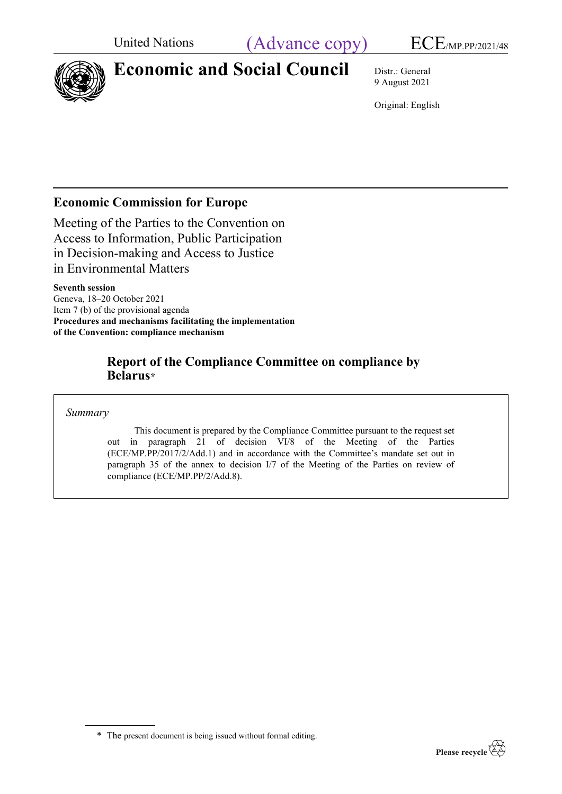

# **Economic and Social Council** Distr.: General

9 August 2021

Original: English

# **Economic Commission for Europe**

Meeting of the Parties to the Convention on Access to Information, Public Participation in Decision-making and Access to Justice in Environmental Matters

**Seventh session** Geneva, 18–20 October 2021 Item 7 (b) of the provisional agenda **Procedures and mechanisms facilitating the implementation of the Convention: compliance mechanism**

# **Report of the Compliance Committee on compliance by Belarus[\\*](#page-0-0)**

### *Summary*

This document is prepared by the Compliance Committee pursuant to the request set out in paragraph 21 of decision VI/8 of the Meeting of the Parties (ECE/MP.PP/2017/2/Add.1) and in accordance with the Committee's mandate set out in paragraph 35 of the annex to decision I/7 of the Meeting of the Parties on review of compliance (ECE/MP.PP/2/Add.8).



<span id="page-0-0"></span><sup>\*</sup> The present document is being issued without formal editing.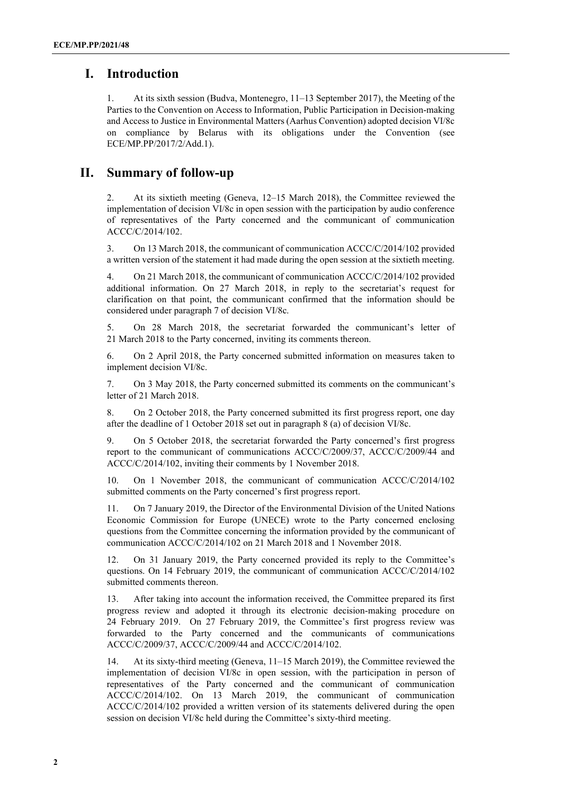## **I. Introduction**

1. At its sixth session (Budva, Montenegro, 11–13 September 2017), the Meeting of the Parties to the Convention on Access to Information, Public Participation in Decision-making and Access to Justice in Environmental Matters (Aarhus Convention) adopted decision VI/8c on compliance by Belarus with its obligations under the Convention (see ECE/MP.PP/2017/2/Add.1).

## **II. Summary of follow-up**

2. At its sixtieth meeting (Geneva, 12–15 March 2018), the Committee reviewed the implementation of decision VI/8c in open session with the participation by audio conference of representatives of the Party concerned and the communicant of communication ACCC/C/2014/102.

3. On 13 March 2018, the communicant of communication ACCC/C/2014/102 provided a written version of the statement it had made during the open session at the sixtieth meeting.

4. On 21 March 2018, the communicant of communication ACCC/C/2014/102 provided additional information. On 27 March 2018, in reply to the secretariat's request for clarification on that point, the communicant confirmed that the information should be considered under paragraph 7 of decision VI/8c.

5. On 28 March 2018, the secretariat forwarded the communicant's letter of 21 March 2018 to the Party concerned, inviting its comments thereon.

6. On 2 April 2018, the Party concerned submitted information on measures taken to implement decision VI/8c.

7. On 3 May 2018, the Party concerned submitted its comments on the communicant's letter of 21 March 2018.

8. On 2 October 2018, the Party concerned submitted its first progress report, one day after the deadline of 1 October 2018 set out in paragraph 8 (a) of decision VI/8c.

9. On 5 October 2018, the secretariat forwarded the Party concerned's first progress report to the communicant of communications ACCC/C/2009/37, ACCC/C/2009/44 and ACCC/C/2014/102, inviting their comments by 1 November 2018.

10. On 1 November 2018, the communicant of communication ACCC/C/2014/102 submitted comments on the Party concerned's first progress report.

11. On 7 January 2019, the Director of the Environmental Division of the United Nations Economic Commission for Europe (UNECE) wrote to the Party concerned enclosing questions from the Committee concerning the information provided by the communicant of communication ACCC/C/2014/102 on 21 March 2018 and 1 November 2018.

12. On 31 January 2019, the Party concerned provided its reply to the Committee's questions. On 14 February 2019, the communicant of communication ACCC/C/2014/102 submitted comments thereon.

13. After taking into account the information received, the Committee prepared its first progress review and adopted it through its electronic decision-making procedure on 24 February 2019. On 27 February 2019, the Committee's first progress review was forwarded to the Party concerned and the communicants of communications ACCC/C/2009/37, ACCC/C/2009/44 and ACCC/C/2014/102.

14. At its sixty-third meeting (Geneva, 11–15 March 2019), the Committee reviewed the implementation of decision VI/8c in open session, with the participation in person of representatives of the Party concerned and the communicant of communication ACCC/C/2014/102. On 13 March 2019, the communicant of communication ACCC/C/2014/102 provided a written version of its statements delivered during the open session on decision VI/8c held during the Committee's sixty-third meeting.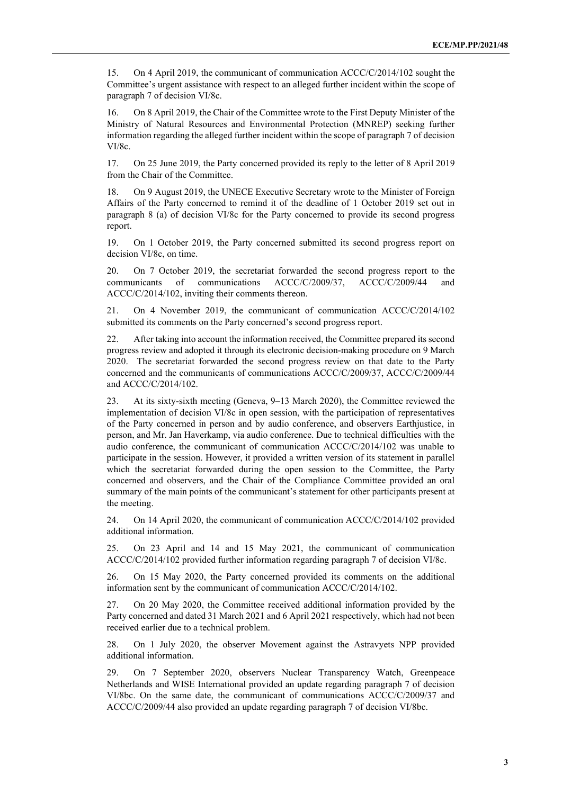15. On 4 April 2019, the communicant of communication ACCC/C/2014/102 sought the Committee's urgent assistance with respect to an alleged further incident within the scope of paragraph 7 of decision VI/8c.

16. On 8 April 2019, the Chair of the Committee wrote to the First Deputy Minister of the Ministry of Natural Resources and Environmental Protection (MNREP) seeking further information regarding the alleged further incident within the scope of paragraph 7 of decision VI/8c.

17. On 25 June 2019, the Party concerned provided its reply to the letter of 8 April 2019 from the Chair of the Committee.

18. On 9 August 2019, the UNECE Executive Secretary wrote to the Minister of Foreign Affairs of the Party concerned to remind it of the deadline of 1 October 2019 set out in paragraph 8 (a) of decision VI/8c for the Party concerned to provide its second progress report.

19. On 1 October 2019, the Party concerned submitted its second progress report on decision VI/8c, on time.

20. On 7 October 2019, the secretariat forwarded the second progress report to the communicants of communications ACCC/C/2009/37, ACCC/C/2009/44 and ACCC/C/2014/102, inviting their comments thereon.

21. On 4 November 2019, the communicant of communication ACCC/C/2014/102 submitted its comments on the Party concerned's second progress report.

22. After taking into account the information received, the Committee prepared its second progress review and adopted it through its electronic decision-making procedure on 9 March 2020. The secretariat forwarded the second progress review on that date to the Party concerned and the communicants of communications ACCC/C/2009/37, ACCC/C/2009/44 and ACCC/C/2014/102.

23. At its sixty-sixth meeting (Geneva, 9–13 March 2020), the Committee reviewed the implementation of decision VI/8c in open session, with the participation of representatives of the Party concerned in person and by audio conference, and observers Earthjustice, in person, and Mr. Jan Haverkamp, via audio conference. Due to technical difficulties with the audio conference, the communicant of communication ACCC/C/2014/102 was unable to participate in the session. However, it provided a written version of its statement in parallel which the secretariat forwarded during the open session to the Committee, the Party concerned and observers, and the Chair of the Compliance Committee provided an oral summary of the main points of the communicant's statement for other participants present at the meeting.

24. On 14 April 2020, the communicant of communication ACCC/C/2014/102 provided additional information.

25. On 23 April and 14 and 15 May 2021, the communicant of communication ACCC/C/2014/102 provided further information regarding paragraph 7 of decision VI/8c.

26. On 15 May 2020, the Party concerned provided its comments on the additional information sent by the communicant of communication ACCC/C/2014/102.

27. On 20 May 2020, the Committee received additional information provided by the Party concerned and dated 31 March 2021 and 6 April 2021 respectively, which had not been received earlier due to a technical problem.

28. On 1 July 2020, the observer Movement against the Astravyets NPP provided additional information.

29. On 7 September 2020, observers Nuclear Transparency Watch, Greenpeace Netherlands and WISE International provided an update regarding paragraph 7 of decision VI/8bc. On the same date, the communicant of communications ACCC/C/2009/37 and ACCC/C/2009/44 also provided an update regarding paragraph 7 of decision VI/8bc.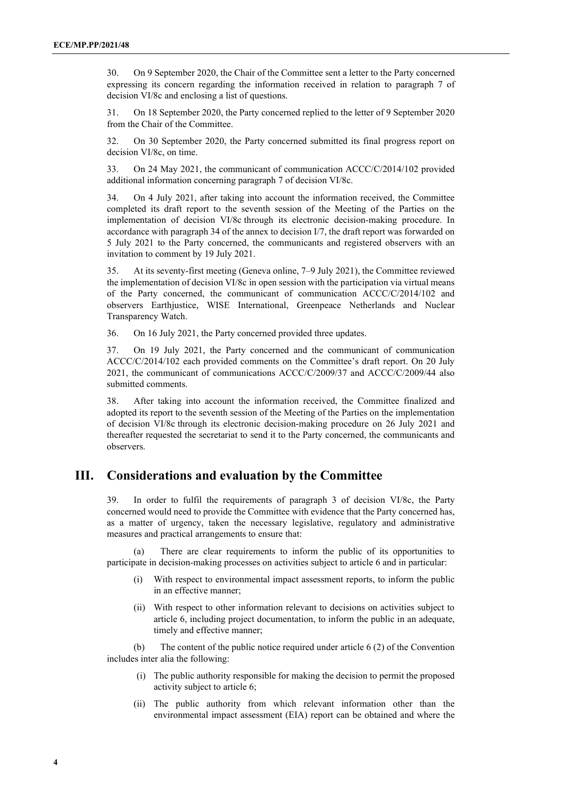30. On 9 September 2020, the Chair of the Committee sent a letter to the Party concerned expressing its concern regarding the information received in relation to paragraph 7 of decision VI/8c and enclosing a list of questions.

31. On 18 September 2020, the Party concerned replied to the letter of 9 September 2020 from the Chair of the Committee.

32. On 30 September 2020, the Party concerned submitted its final progress report on decision VI/8c, on time.

33. On 24 May 2021, the communicant of communication ACCC/C/2014/102 provided additional information concerning paragraph 7 of decision VI/8c.

34. On 4 July 2021, after taking into account the information received, the Committee completed its draft report to the seventh session of the Meeting of the Parties on the implementation of decision VI/8c through its electronic decision-making procedure. In accordance with paragraph 34 of the annex to decision I/7, the draft report was forwarded on 5 July 2021 to the Party concerned, the communicants and registered observers with an invitation to comment by 19 July 2021.

35. At its seventy-first meeting (Geneva online, 7–9 July 2021), the Committee reviewed the implementation of decision VI/8c in open session with the participation via virtual means of the Party concerned, the communicant of communication ACCC/C/2014/102 and observers Earthjustice, WISE International, Greenpeace Netherlands and Nuclear Transparency Watch.

36. On 16 July 2021, the Party concerned provided three updates.

37. On 19 July 2021, the Party concerned and the communicant of communication ACCC/C/2014/102 each provided comments on the Committee's draft report. On 20 July 2021, the communicant of communications ACCC/C/2009/37 and ACCC/C/2009/44 also submitted comments.

38. After taking into account the information received, the Committee finalized and adopted its report to the seventh session of the Meeting of the Parties on the implementation of decision VI/8c through its electronic decision-making procedure on 26 July 2021 and thereafter requested the secretariat to send it to the Party concerned, the communicants and observers.

### **III. Considerations and evaluation by the Committee**

In order to fulfil the requirements of paragraph 3 of decision VI/8c, the Party concerned would need to provide the Committee with evidence that the Party concerned has, as a matter of urgency, taken the necessary legislative, regulatory and administrative measures and practical arrangements to ensure that:

(a) There are clear requirements to inform the public of its opportunities to participate in decision-making processes on activities subject to article 6 and in particular:

- (i) With respect to environmental impact assessment reports, to inform the public in an effective manner;
- (ii) With respect to other information relevant to decisions on activities subject to article 6, including project documentation, to inform the public in an adequate, timely and effective manner;

(b) The content of the public notice required under article 6 (2) of the Convention includes inter alia the following:

- (i) The public authority responsible for making the decision to permit the proposed activity subject to article 6;
- (ii) The public authority from which relevant information other than the environmental impact assessment (EIA) report can be obtained and where the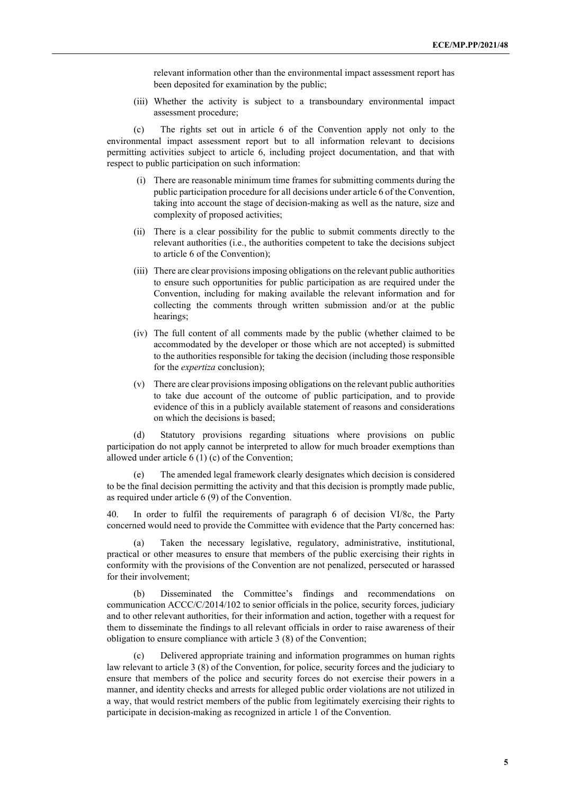relevant information other than the environmental impact assessment report has been deposited for examination by the public;

(iii) Whether the activity is subject to a transboundary environmental impact assessment procedure;

(c) The rights set out in article 6 of the Convention apply not only to the environmental impact assessment report but to all information relevant to decisions permitting activities subject to article 6, including project documentation, and that with respect to public participation on such information:

- (i) There are reasonable minimum time frames for submitting comments during the public participation procedure for all decisions under article 6 of the Convention, taking into account the stage of decision-making as well as the nature, size and complexity of proposed activities;
- (ii) There is a clear possibility for the public to submit comments directly to the relevant authorities (i.e., the authorities competent to take the decisions subject to article 6 of the Convention);
- (iii) There are clear provisions imposing obligations on the relevant public authorities to ensure such opportunities for public participation as are required under the Convention, including for making available the relevant information and for collecting the comments through written submission and/or at the public hearings;
- (iv) The full content of all comments made by the public (whether claimed to be accommodated by the developer or those which are not accepted) is submitted to the authorities responsible for taking the decision (including those responsible for the *expertiza* conclusion);
- (v) There are clear provisions imposing obligations on the relevant public authorities to take due account of the outcome of public participation, and to provide evidence of this in a publicly available statement of reasons and considerations on which the decisions is based;

(d) Statutory provisions regarding situations where provisions on public participation do not apply cannot be interpreted to allow for much broader exemptions than allowed under article 6 (1) (c) of the Convention;

(e) The amended legal framework clearly designates which decision is considered to be the final decision permitting the activity and that this decision is promptly made public, as required under article 6 (9) of the Convention.

40. In order to fulfil the requirements of paragraph 6 of decision VI/8c, the Party concerned would need to provide the Committee with evidence that the Party concerned has:

(a) Taken the necessary legislative, regulatory, administrative, institutional, practical or other measures to ensure that members of the public exercising their rights in conformity with the provisions of the Convention are not penalized, persecuted or harassed for their involvement;

(b) Disseminated the Committee's findings and recommendations on communication ACCC/C/2014/102 to senior officials in the police, security forces, judiciary and to other relevant authorities, for their information and action, together with a request for them to disseminate the findings to all relevant officials in order to raise awareness of their obligation to ensure compliance with article 3 (8) of the Convention;

(c) Delivered appropriate training and information programmes on human rights law relevant to article 3 (8) of the Convention, for police, security forces and the judiciary to ensure that members of the police and security forces do not exercise their powers in a manner, and identity checks and arrests for alleged public order violations are not utilized in a way, that would restrict members of the public from legitimately exercising their rights to participate in decision-making as recognized in article 1 of the Convention.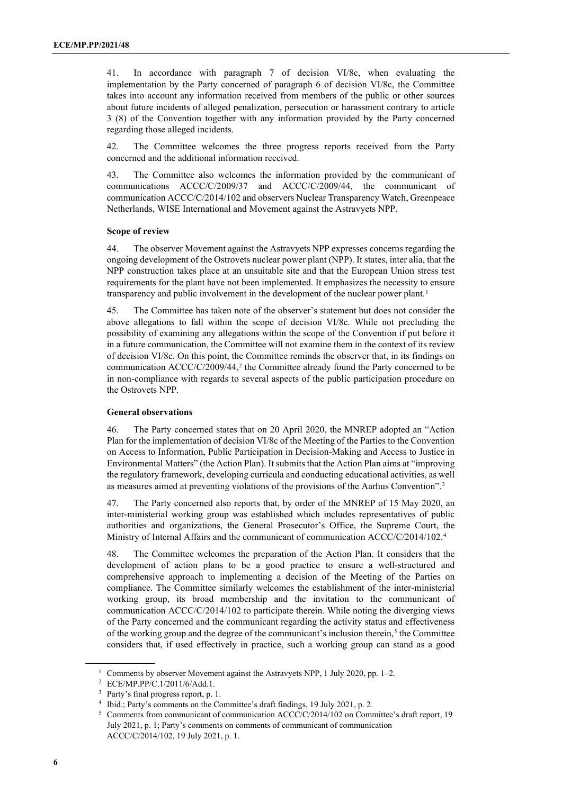41. In accordance with paragraph 7 of decision VI/8c, when evaluating the implementation by the Party concerned of paragraph 6 of decision VI/8c, the Committee takes into account any information received from members of the public or other sources about future incidents of alleged penalization, persecution or harassment contrary to article 3 (8) of the Convention together with any information provided by the Party concerned regarding those alleged incidents.

42. The Committee welcomes the three progress reports received from the Party concerned and the additional information received.

43. The Committee also welcomes the information provided by the communicant of communications ACCC/C/2009/37 and ACCC/C/2009/44, the communicant of communication ACCC/C/2014/102 and observers Nuclear Transparency Watch, Greenpeace Netherlands, WISE International and Movement against the Astravyets NPP.

#### **Scope of review**

44. The observer Movement against the Astravyets NPP expresses concerns regarding the ongoing development of the Ostrovets nuclear power plant (NPP). It states, inter alia, that the NPP construction takes place at an unsuitable site and that the European Union stress test requirements for the plant have not been implemented. It emphasizes the necessity to ensure transparency and public involvement in the development of the nuclear power plant.<sup>[1](#page-5-0)</sup>

45. The Committee has taken note of the observer's statement but does not consider the above allegations to fall within the scope of decision VI/8c. While not precluding the possibility of examining any allegations within the scope of the Convention if put before it in a future communication, the Committee will not examine them in the context of its review of decision VI/8c. On this point, the Committee reminds the observer that, in its findings on communication ACCC/C/2009/44[,2](#page-5-1) the Committee already found the Party concerned to be in non-compliance with regards to several aspects of the public participation procedure on the Ostrovets NPP.

#### **General observations**

46. The Party concerned states that on 20 April 2020, the MNREP adopted an "Action Plan for the implementation of decision VI/8c of the Meeting of the Parties to the Convention on Access to Information, Public Participation in Decision-Making and Access to Justice in Environmental Matters" (the Action Plan). It submits that the Action Plan aims at "improving the regulatory framework, developing curricula and conducting educational activities, as well as measures aimed at preventing violations of the provisions of the Aarhus Convention"[.3](#page-5-2)

47. The Party concerned also reports that, by order of the MNREP of 15 May 2020, an inter-ministerial working group was established which includes representatives of public authorities and organizations, the General Prosecutor's Office, the Supreme Court, the Ministry of Internal Affairs and the communicant of communication ACCC/C/2014/102.[4](#page-5-3)

48. The Committee welcomes the preparation of the Action Plan. It considers that the development of action plans to be a good practice to ensure a well-structured and comprehensive approach to implementing a decision of the Meeting of the Parties on compliance. The Committee similarly welcomes the establishment of the inter-ministerial working group, its broad membership and the invitation to the communicant of communication ACCC/C/2014/102 to participate therein. While noting the diverging views of the Party concerned and the communicant regarding the activity status and effectiveness of the working group and the degree of the communicant's inclusion therein,<sup>[5](#page-5-4)</sup> the Committee considers that, if used effectively in practice, such a working group can stand as a good

<span id="page-5-1"></span><span id="page-5-0"></span><sup>&</sup>lt;sup>1</sup> Comments by observer Movement against the Astravyets NPP, 1 July 2020, pp. 1–2.

<sup>2</sup> ECE/MP.PP/C.1/2011/6/Add.1.

<span id="page-5-2"></span><sup>3</sup> Party's final progress report, p. 1.

<span id="page-5-3"></span><sup>4</sup> Ibid.; Party's comments on the Committee's draft findings, 19 July 2021, p. 2.

<span id="page-5-4"></span><sup>&</sup>lt;sup>5</sup> Comments from communicant of communication ACCC/C/2014/102 on Committee's draft report, 19 July 2021, p. 1; Party's comments on comments of communicant of communication ACCC/C/2014/102, 19 July 2021, p. 1.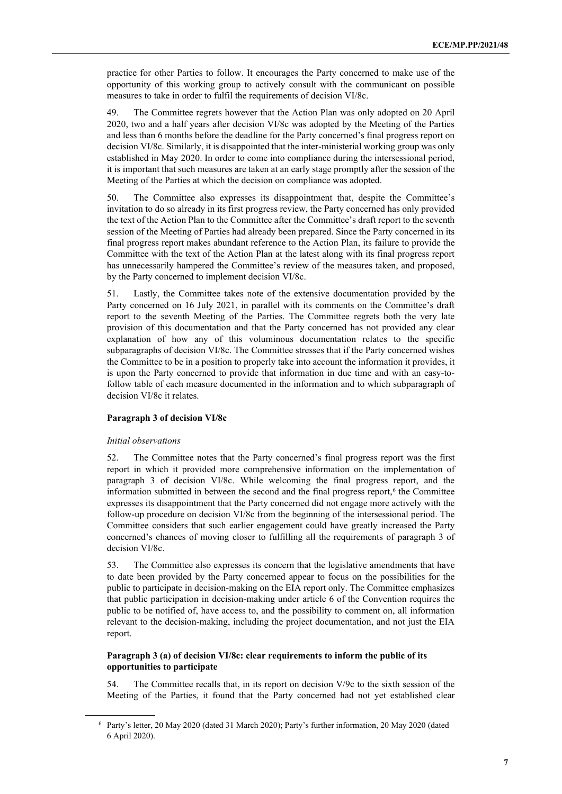practice for other Parties to follow. It encourages the Party concerned to make use of the opportunity of this working group to actively consult with the communicant on possible measures to take in order to fulfil the requirements of decision VI/8c.

49. The Committee regrets however that the Action Plan was only adopted on 20 April 2020, two and a half years after decision VI/8c was adopted by the Meeting of the Parties and less than 6 months before the deadline for the Party concerned's final progress report on decision VI/8c. Similarly, it is disappointed that the inter-ministerial working group was only established in May 2020. In order to come into compliance during the intersessional period, it is important that such measures are taken at an early stage promptly after the session of the Meeting of the Parties at which the decision on compliance was adopted.

50. The Committee also expresses its disappointment that, despite the Committee's invitation to do so already in its first progress review, the Party concerned has only provided the text of the Action Plan to the Committee after the Committee's draft report to the seventh session of the Meeting of Parties had already been prepared. Since the Party concerned in its final progress report makes abundant reference to the Action Plan, its failure to provide the Committee with the text of the Action Plan at the latest along with its final progress report has unnecessarily hampered the Committee's review of the measures taken, and proposed, by the Party concerned to implement decision VI/8c.

51. Lastly, the Committee takes note of the extensive documentation provided by the Party concerned on 16 July 2021, in parallel with its comments on the Committee's draft report to the seventh Meeting of the Parties. The Committee regrets both the very late provision of this documentation and that the Party concerned has not provided any clear explanation of how any of this voluminous documentation relates to the specific subparagraphs of decision VI/8c. The Committee stresses that if the Party concerned wishes the Committee to be in a position to properly take into account the information it provides, it is upon the Party concerned to provide that information in due time and with an easy-tofollow table of each measure documented in the information and to which subparagraph of decision VI/8c it relates.

#### **Paragraph 3 of decision VI/8c**

#### *Initial observations*

52. The Committee notes that the Party concerned's final progress report was the first report in which it provided more comprehensive information on the implementation of paragraph 3 of decision VI/8c. While welcoming the final progress report, and the information submitted in between the second and the final progress report, $6$  the Committee expresses its disappointment that the Party concerned did not engage more actively with the follow-up procedure on decision VI/8c from the beginning of the intersessional period. The Committee considers that such earlier engagement could have greatly increased the Party concerned's chances of moving closer to fulfilling all the requirements of paragraph 3 of decision VI/8c.

53. The Committee also expresses its concern that the legislative amendments that have to date been provided by the Party concerned appear to focus on the possibilities for the public to participate in decision-making on the EIA report only. The Committee emphasizes that public participation in decision-making under article 6 of the Convention requires the public to be notified of, have access to, and the possibility to comment on, all information relevant to the decision-making, including the project documentation, and not just the EIA report.

#### **Paragraph 3 (a) of decision VI/8c: clear requirements to inform the public of its opportunities to participate**

54. The Committee recalls that, in its report on decision V/9c to the sixth session of the Meeting of the Parties, it found that the Party concerned had not yet established clear

<span id="page-6-0"></span><sup>6</sup> Party's letter, 20 May 2020 (dated 31 March 2020); Party's further information, 20 May 2020 (dated 6 April 2020).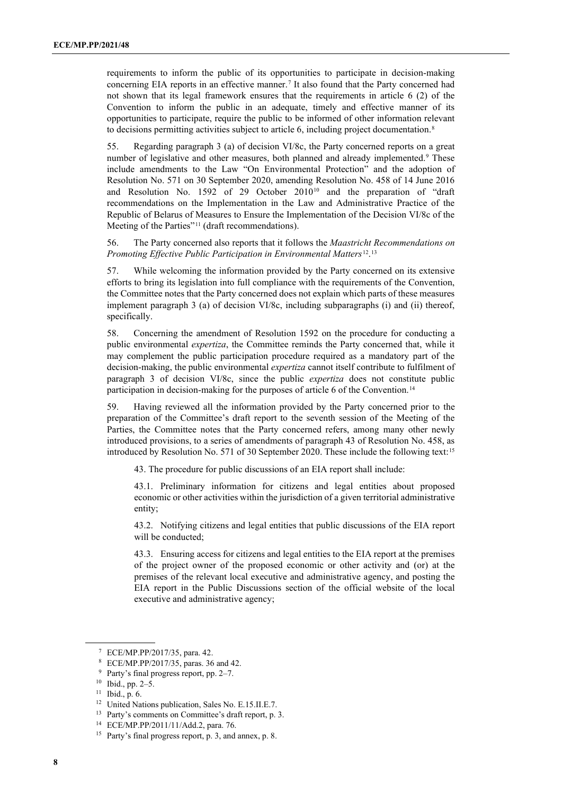requirements to inform the public of its opportunities to participate in decision-making concerning EIA reports in an effective manner.[7](#page-7-0) It also found that the Party concerned had not shown that its legal framework ensures that the requirements in article 6 (2) of the Convention to inform the public in an adequate, timely and effective manner of its opportunities to participate, require the public to be informed of other information relevant to decisions permitting activities subject to article 6, including project documentation.<sup>[8](#page-7-1)</sup>

55. Regarding paragraph 3 (a) of decision VI/8c, the Party concerned reports on a great number of legislative and other measures, both planned and already implemented[.9](#page-7-2) These include amendments to the Law "On Environmental Protection" and the adoption of Resolution No. 571 on 30 September 2020, amending Resolution No. 458 of 14 June 2016 and Resolution No. 1592 of 29 October 20[10](#page-7-3)<sup>10</sup> and the preparation of "draft recommendations on the Implementation in the Law and Administrative Practice of the Republic of Belarus of Measures to Ensure the Implementation of the Decision VI/8c of the Meeting of the Parties"<sup>[11](#page-7-4)</sup> (draft recommendations).

56. The Party concerned also reports that it follows the *Maastricht Recommendations on Promoting Effective Public Participation in Environmental Matters*[12](#page-7-5).[13](#page-7-6)

57. While welcoming the information provided by the Party concerned on its extensive efforts to bring its legislation into full compliance with the requirements of the Convention, the Committee notes that the Party concerned does not explain which parts of these measures implement paragraph 3 (a) of decision VI/8c, including subparagraphs (i) and (ii) thereof, specifically.

58. Concerning the amendment of Resolution 1592 on the procedure for conducting a public environmental *expertiza*, the Committee reminds the Party concerned that, while it may complement the public participation procedure required as a mandatory part of the decision-making, the public environmental *expertiza* cannot itself contribute to fulfilment of paragraph 3 of decision VI/8c, since the public *expertiza* does not constitute public participation in decision-making for the purposes of article 6 of the Convention.<sup>[14](#page-7-7)</sup>

59. Having reviewed all the information provided by the Party concerned prior to the preparation of the Committee's draft report to the seventh session of the Meeting of the Parties, the Committee notes that the Party concerned refers, among many other newly introduced provisions, to a series of amendments of paragraph 43 of Resolution No. 458, as introduced by Resolution No. 571 of 30 September 2020. These include the following text:[15](#page-7-8)

43. The procedure for public discussions of an EIA report shall include:

43.1. Preliminary information for citizens and legal entities about proposed economic or other activities within the jurisdiction of a given territorial administrative entity;

43.2. Notifying citizens and legal entities that public discussions of the EIA report will be conducted;

43.3. Ensuring access for citizens and legal entities to the EIA report at the premises of the project owner of the proposed economic or other activity and (or) at the premises of the relevant local executive and administrative agency, and posting the EIA report in the Public Discussions section of the official website of the local executive and administrative agency;

<span id="page-7-0"></span><sup>7</sup> ECE/MP.PP/2017/35, para. 42.<br>8 ECE/MP.PP/2017/35, paras. 36 and 42.<br>9 Party's final progress report, pp. 2–7.

<span id="page-7-4"></span><span id="page-7-3"></span><span id="page-7-2"></span><span id="page-7-1"></span><sup>&</sup>lt;sup>10</sup> Ibid., pp. 2–5.<br><sup>11</sup> Ibid., p. 6.

<span id="page-7-5"></span><sup>&</sup>lt;sup>12</sup> United Nations publication, Sales No. E.15.II.E.7.

<span id="page-7-6"></span><sup>13</sup> Party's comments on Committee's draft report, p. 3.

<span id="page-7-7"></span><sup>14</sup> ECE/MP.PP/2011/11/Add.2, para. 76.

<span id="page-7-8"></span><sup>15</sup> Party's final progress report, p. 3, and annex, p. 8.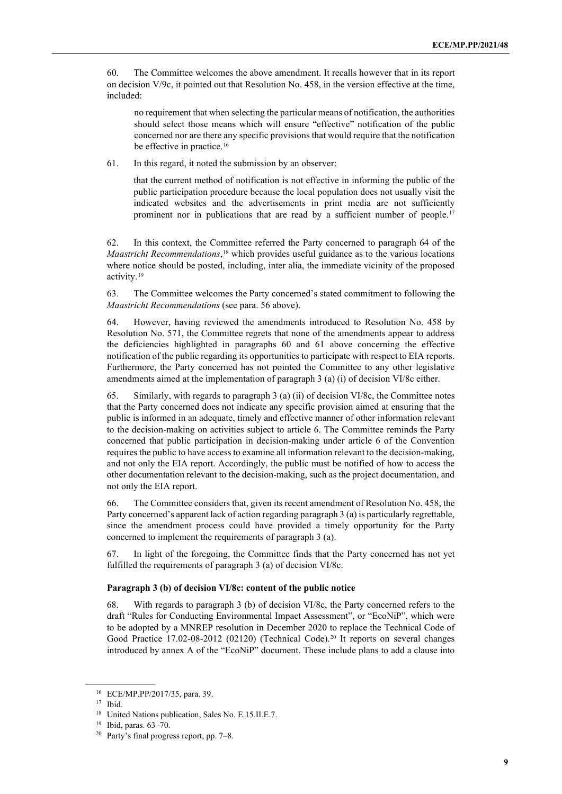60. The Committee welcomes the above amendment. It recalls however that in its report on decision V/9c, it pointed out that Resolution No. 458, in the version effective at the time, included:

no requirement that when selecting the particular means of notification, the authorities should select those means which will ensure "effective" notification of the public concerned nor are there any specific provisions that would require that the notification be effective in practice.<sup>[16](#page-8-0)</sup>

61. In this regard, it noted the submission by an observer:

that the current method of notification is not effective in informing the public of the public participation procedure because the local population does not usually visit the indicated websites and the advertisements in print media are not sufficiently prominent nor in publications that are read by a sufficient number of people.<sup>[17](#page-8-1)</sup>

62. In this context, the Committee referred the Party concerned to paragraph 64 of the *Maastricht Recommendations*, [18](#page-8-2) which provides useful guidance as to the various locations where notice should be posted, including, inter alia, the immediate vicinity of the proposed activity.[19](#page-8-3)

63. The Committee welcomes the Party concerned's stated commitment to following the *Maastricht Recommendations* (see para. 56 above).

64. However, having reviewed the amendments introduced to Resolution No. 458 by Resolution No. 571, the Committee regrets that none of the amendments appear to address the deficiencies highlighted in paragraphs 60 and 61 above concerning the effective notification of the public regarding its opportunities to participate with respect to EIA reports. Furthermore, the Party concerned has not pointed the Committee to any other legislative amendments aimed at the implementation of paragraph 3 (a) (i) of decision VI/8c either.

65. Similarly, with regards to paragraph 3 (a) (ii) of decision VI/8c, the Committee notes that the Party concerned does not indicate any specific provision aimed at ensuring that the public is informed in an adequate, timely and effective manner of other information relevant to the decision-making on activities subject to article 6. The Committee reminds the Party concerned that public participation in decision-making under article 6 of the Convention requires the public to have access to examine all information relevant to the decision-making, and not only the EIA report. Accordingly, the public must be notified of how to access the other documentation relevant to the decision-making, such as the project documentation, and not only the EIA report.

66. The Committee considers that, given its recent amendment of Resolution No. 458, the Party concerned's apparent lack of action regarding paragraph 3 (a) is particularly regrettable, since the amendment process could have provided a timely opportunity for the Party concerned to implement the requirements of paragraph 3 (a).

67. In light of the foregoing, the Committee finds that the Party concerned has not yet fulfilled the requirements of paragraph 3 (a) of decision VI/8c.

#### **Paragraph 3 (b) of decision VI/8c: content of the public notice**

68. With regards to paragraph 3 (b) of decision VI/8c, the Party concerned refers to the draft "Rules for Conducting Environmental Impact Assessment", or "EcoNiP", which were to be adopted by a MNREP resolution in December 2020 to replace the Technical Code of Good Practice 17.02-08-[20](#page-8-4)12 (02120) (Technical Code).<sup>20</sup> It reports on several changes introduced by annex A of the "EcoNiP" document. These include plans to add a clause into

<span id="page-8-0"></span><sup>16</sup> ECE/MP.PP/2017/35, para. 39.

<span id="page-8-1"></span><sup>17</sup> Ibid.

<span id="page-8-2"></span><sup>18</sup> United Nations publication, Sales No. E.15.II.E.7.

<span id="page-8-4"></span><span id="page-8-3"></span><sup>&</sup>lt;sup>19</sup> Ibid, paras.  $63-70$ .<br><sup>20</sup> Party's final progress report, pp. 7–8.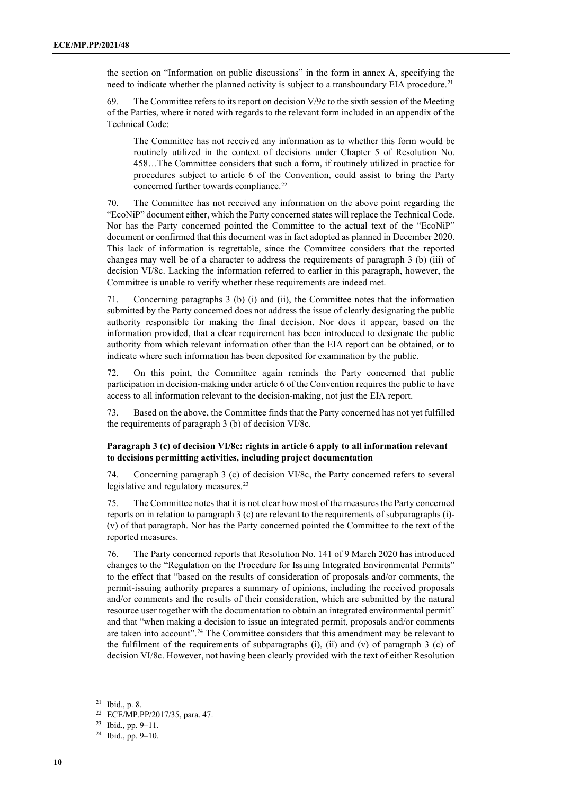the section on "Information on public discussions" in the form in annex A, specifying the need to indicate whether the planned activity is subject to a transboundary EIA procedure.<sup>[21](#page-9-0)</sup>

69. The Committee refers to its report on decision V/9c to the sixth session of the Meeting of the Parties, where it noted with regards to the relevant form included in an appendix of the Technical Code:

The Committee has not received any information as to whether this form would be routinely utilized in the context of decisions under Chapter 5 of Resolution No. 458…The Committee considers that such a form, if routinely utilized in practice for procedures subject to article 6 of the Convention, could assist to bring the Party concerned further towards compliance.<sup>[22](#page-9-1)</sup>

70. The Committee has not received any information on the above point regarding the "EcoNiP" document either, which the Party concerned states will replace the Technical Code. Nor has the Party concerned pointed the Committee to the actual text of the "EcoNiP" document or confirmed that this document was in fact adopted as planned in December 2020. This lack of information is regrettable, since the Committee considers that the reported changes may well be of a character to address the requirements of paragraph 3 (b) (iii) of decision VI/8c. Lacking the information referred to earlier in this paragraph, however, the Committee is unable to verify whether these requirements are indeed met.

71. Concerning paragraphs 3 (b) (i) and (ii), the Committee notes that the information submitted by the Party concerned does not address the issue of clearly designating the public authority responsible for making the final decision. Nor does it appear, based on the information provided, that a clear requirement has been introduced to designate the public authority from which relevant information other than the EIA report can be obtained, or to indicate where such information has been deposited for examination by the public.

72. On this point, the Committee again reminds the Party concerned that public participation in decision-making under article 6 of the Convention requires the public to have access to all information relevant to the decision-making, not just the EIA report.

73. Based on the above, the Committee finds that the Party concerned has not yet fulfilled the requirements of paragraph 3 (b) of decision VI/8c.

#### **Paragraph 3 (c) of decision VI/8c: rights in article 6 apply to all information relevant to decisions permitting activities, including project documentation**

74. Concerning paragraph 3 (c) of decision VI/8c, the Party concerned refers to several legislative and regulatory measures.<sup>[23](#page-9-2)</sup>

75. The Committee notes that it is not clear how most of the measures the Party concerned reports on in relation to paragraph 3 (c) are relevant to the requirements of subparagraphs (i)- (v) of that paragraph. Nor has the Party concerned pointed the Committee to the text of the reported measures.

76. The Party concerned reports that Resolution No. 141 of 9 March 2020 has introduced changes to the "Regulation on the Procedure for Issuing Integrated Environmental Permits" to the effect that "based on the results of consideration of proposals and/or comments, the permit-issuing authority prepares a summary of opinions, including the received proposals and/or comments and the results of their consideration, which are submitted by the natural resource user together with the documentation to obtain an integrated environmental permit" and that "when making a decision to issue an integrated permit, proposals and/or comments are taken into account".<sup>[24](#page-9-3)</sup> The Committee considers that this amendment may be relevant to the fulfilment of the requirements of subparagraphs  $(i)$ ,  $(ii)$  and  $(v)$  of paragraph 3  $(c)$  of decision VI/8c. However, not having been clearly provided with the text of either Resolution

<span id="page-9-0"></span><sup>21</sup> Ibid., p. 8.

<sup>22</sup> ECE/MP.PP/2017/35, para. 47.

<span id="page-9-3"></span><span id="page-9-2"></span><span id="page-9-1"></span><sup>23</sup> Ibid., pp. 9–11. 24 Ibid., pp. 9–10.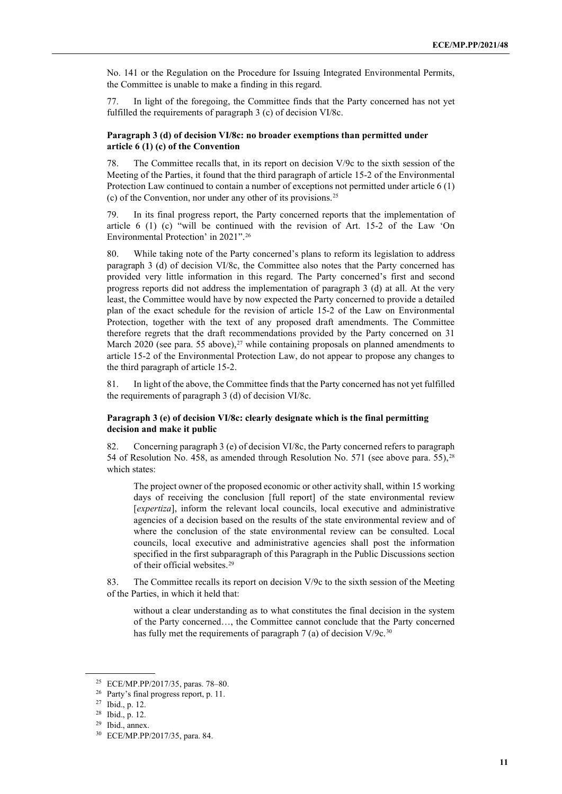No. 141 or the Regulation on the Procedure for Issuing Integrated Environmental Permits, the Committee is unable to make a finding in this regard.

77. In light of the foregoing, the Committee finds that the Party concerned has not yet fulfilled the requirements of paragraph 3 (c) of decision VI/8c.

#### **Paragraph 3 (d) of decision VI/8c: no broader exemptions than permitted under article 6 (1) (c) of the Convention**

78. The Committee recalls that, in its report on decision V/9c to the sixth session of the Meeting of the Parties, it found that the third paragraph of article 15-2 of the Environmental Protection Law continued to contain a number of exceptions not permitted under article 6 (1) (c) of the Convention, nor under any other of its provisions.[25](#page-10-0)

79. In its final progress report, the Party concerned reports that the implementation of article  $6$  (1) (c) "will be continued with the revision of Art. 15-2 of the Law 'On Environmental Protection' in 2021".[26](#page-10-1)

80. While taking note of the Party concerned's plans to reform its legislation to address paragraph 3 (d) of decision VI/8c, the Committee also notes that the Party concerned has provided very little information in this regard. The Party concerned's first and second progress reports did not address the implementation of paragraph 3 (d) at all. At the very least, the Committee would have by now expected the Party concerned to provide a detailed plan of the exact schedule for the revision of article 15-2 of the Law on Environmental Protection, together with the text of any proposed draft amendments. The Committee therefore regrets that the draft recommendations provided by the Party concerned on 31 March 2020 (see para. 55 above), $27$  while containing proposals on planned amendments to article 15-2 of the Environmental Protection Law, do not appear to propose any changes to the third paragraph of article 15-2.

81. In light of the above, the Committee finds that the Party concerned has not yet fulfilled the requirements of paragraph 3 (d) of decision VI/8c.

#### **Paragraph 3 (e) of decision VI/8c: clearly designate which is the final permitting decision and make it public**

82. Concerning paragraph 3 (e) of decision VI/8c, the Party concerned refers to paragraph 54 of Resolution No. 458, as amended through Resolution No. 571 (see above para. 55),<sup>[28](#page-10-3)</sup> which states:

The project owner of the proposed economic or other activity shall, within 15 working days of receiving the conclusion [full report] of the state environmental review [*expertiza*], inform the relevant local councils, local executive and administrative agencies of a decision based on the results of the state environmental review and of where the conclusion of the state environmental review can be consulted. Local councils, local executive and administrative agencies shall post the information specified in the first subparagraph of this Paragraph in the Public Discussions section of their official websites.[29](#page-10-4)

83. The Committee recalls its report on decision V/9c to the sixth session of the Meeting of the Parties, in which it held that:

without a clear understanding as to what constitutes the final decision in the system of the Party concerned…, the Committee cannot conclude that the Party concerned has fully met the requirements of paragraph 7 (a) of decision  $V/9c$ .<sup>[30](#page-10-5)</sup>

<sup>25</sup> ECE/MP.PP/2017/35, paras. 78–80.

<span id="page-10-1"></span><span id="page-10-0"></span><sup>26</sup> Party's final progress report, p. 11.

<span id="page-10-2"></span><sup>27</sup> Ibid., p. 12.

<span id="page-10-4"></span><span id="page-10-3"></span><sup>28</sup> Ibid., p. 12.

<span id="page-10-5"></span><sup>&</sup>lt;sup>29</sup> Ibid., annex.<br><sup>30</sup> ECE/MP.PP/2017/35, para. 84.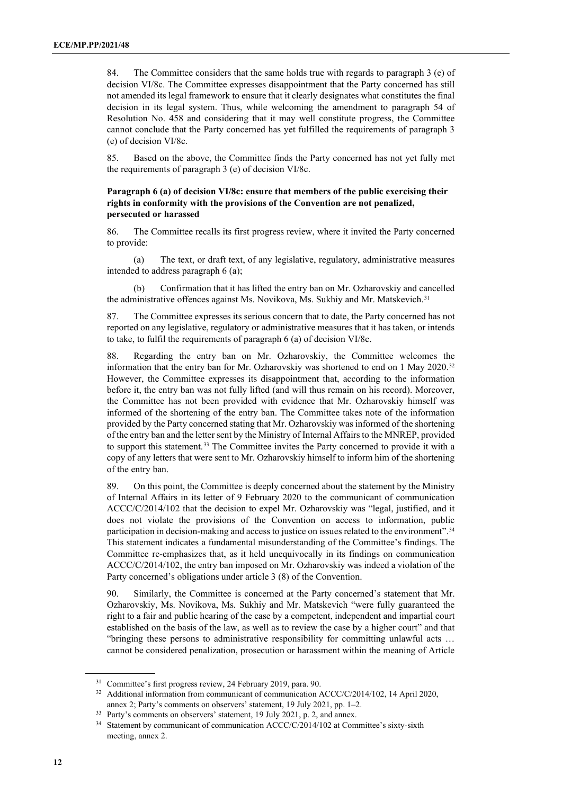84. The Committee considers that the same holds true with regards to paragraph 3 (e) of decision VI/8c. The Committee expresses disappointment that the Party concerned has still not amended its legal framework to ensure that it clearly designates what constitutes the final decision in its legal system. Thus, while welcoming the amendment to paragraph 54 of Resolution No. 458 and considering that it may well constitute progress, the Committee cannot conclude that the Party concerned has yet fulfilled the requirements of paragraph 3 (e) of decision VI/8c.

85. Based on the above, the Committee finds the Party concerned has not yet fully met the requirements of paragraph 3 (e) of decision VI/8c.

#### **Paragraph 6 (a) of decision VI/8c: ensure that members of the public exercising their rights in conformity with the provisions of the Convention are not penalized, persecuted or harassed**

86. The Committee recalls its first progress review, where it invited the Party concerned to provide:

(a) The text, or draft text, of any legislative, regulatory, administrative measures intended to address paragraph 6 (a);

Confirmation that it has lifted the entry ban on Mr. Ozharovskiy and cancelled the administrative offences against Ms. Novikova, Ms. Sukhiy and Mr. Matskevich.<sup>[31](#page-11-0)</sup>

87. The Committee expresses its serious concern that to date, the Party concerned has not reported on any legislative, regulatory or administrative measures that it has taken, or intends to take, to fulfil the requirements of paragraph 6 (a) of decision VI/8c.

88. Regarding the entry ban on Mr. Ozharovskiy, the Committee welcomes the information that the entry ban for Mr. Ozharovskiy was shortened to end on 1 May 2020.[32](#page-11-1) However, the Committee expresses its disappointment that, according to the information before it, the entry ban was not fully lifted (and will thus remain on his record). Moreover, the Committee has not been provided with evidence that Mr. Ozharovskiy himself was informed of the shortening of the entry ban. The Committee takes note of the information provided by the Party concerned stating that Mr. Ozharovskiy was informed of the shortening of the entry ban and the letter sent by the Ministry of Internal Affairs to the MNREP, provided to support this statement.[33](#page-11-2) The Committee invites the Party concerned to provide it with a copy of any letters that were sent to Mr. Ozharovskiy himself to inform him of the shortening of the entry ban.

89. On this point, the Committee is deeply concerned about the statement by the Ministry of Internal Affairs in its letter of 9 February 2020 to the communicant of communication ACCC/C/2014/102 that the decision to expel Mr. Ozharovskiy was "legal, justified, and it does not violate the provisions of the Convention on access to information, public participation in decision-making and access to justice on issues related to the environment".[34](#page-11-3) This statement indicates a fundamental misunderstanding of the Committee's findings. The Committee re-emphasizes that, as it held unequivocally in its findings on communication ACCC/C/2014/102, the entry ban imposed on Mr. Ozharovskiy was indeed a violation of the Party concerned's obligations under article 3 (8) of the Convention.

90. Similarly, the Committee is concerned at the Party concerned's statement that Mr. Ozharovskiy, Ms. Novikova, Ms. Sukhiy and Mr. Matskevich "were fully guaranteed the right to a fair and public hearing of the case by a competent, independent and impartial court established on the basis of the law, as well as to review the case by a higher court" and that "bringing these persons to administrative responsibility for committing unlawful acts … cannot be considered penalization, prosecution or harassment within the meaning of Article

<span id="page-11-1"></span><span id="page-11-0"></span><sup>&</sup>lt;sup>31</sup> Committee's first progress review, 24 February 2019, para. 90.<br><sup>32</sup> Additional information from communicant of communication ACCC/C/2014/102, 14 April 2020, annex 2; Party's comments on observers' statement, 19 July 2021, pp. 1–2.<br>
<sup>33</sup> Party's comments on observers' statement, 19 July 2021, p. 2, and annex.<br>
<sup>34</sup> Statement by communicant of communication ACCC/C/2014/102 at C

<span id="page-11-3"></span><span id="page-11-2"></span>

meeting, annex 2.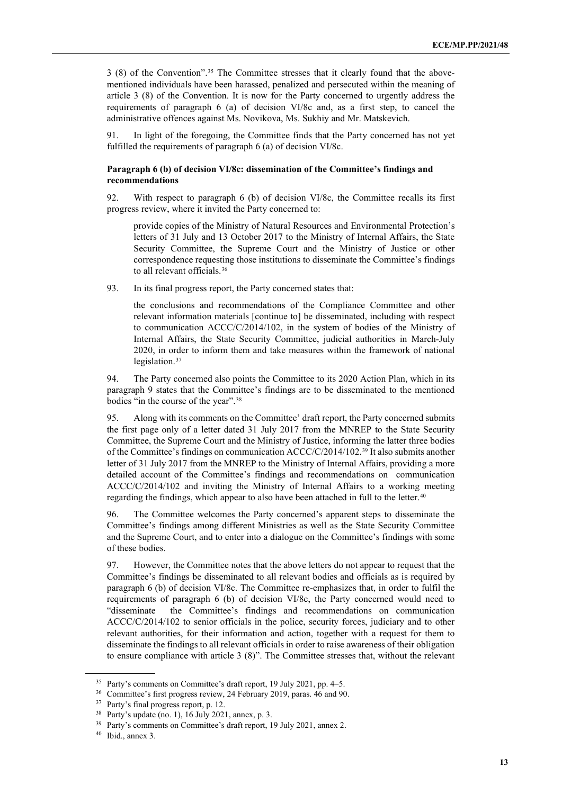3 (8) of the Convention".[35](#page-12-0) The Committee stresses that it clearly found that the abovementioned individuals have been harassed, penalized and persecuted within the meaning of article 3 (8) of the Convention. It is now for the Party concerned to urgently address the requirements of paragraph 6 (a) of decision VI/8c and, as a first step, to cancel the administrative offences against Ms. Novikova, Ms. Sukhiy and Mr. Matskevich.

91. In light of the foregoing, the Committee finds that the Party concerned has not yet fulfilled the requirements of paragraph 6 (a) of decision VI/8c.

#### **Paragraph 6 (b) of decision VI/8c: dissemination of the Committee's findings and recommendations**

92. With respect to paragraph 6 (b) of decision VI/8c, the Committee recalls its first progress review, where it invited the Party concerned to:

provide copies of the Ministry of Natural Resources and Environmental Protection's letters of 31 July and 13 October 2017 to the Ministry of Internal Affairs, the State Security Committee, the Supreme Court and the Ministry of Justice or other correspondence requesting those institutions to disseminate the Committee's findings to all relevant officials.[36](#page-12-1)

93. In its final progress report, the Party concerned states that:

the conclusions and recommendations of the Compliance Committee and other relevant information materials [continue to] be disseminated, including with respect to communication ACCC/C/2014/102, in the system of bodies of the Ministry of Internal Affairs, the State Security Committee, judicial authorities in March-July 2020, in order to inform them and take measures within the framework of national legislation.<sup>[37](#page-12-2)</sup>

94. The Party concerned also points the Committee to its 2020 Action Plan, which in its paragraph 9 states that the Committee's findings are to be disseminated to the mentioned bodies "in the course of the year".[38](#page-12-3)

95. Along with its comments on the Committee' draft report, the Party concerned submits the first page only of a letter dated 31 July 2017 from the MNREP to the State Security Committee, the Supreme Court and the Ministry of Justice, informing the latter three bodies of the Committee's findings on communication ACCC/C/2014/102.[39](#page-12-4) It also submits another letter of 31 July 2017 from the MNREP to the Ministry of Internal Affairs, providing a more detailed account of the Committee's findings and recommendations on communication ACCC/C/2014/102 and inviting the Ministry of Internal Affairs to a working meeting regarding the findings, which appear to also have been attached in full to the letter.<sup>[40](#page-12-5)</sup>

96. The Committee welcomes the Party concerned's apparent steps to disseminate the Committee's findings among different Ministries as well as the State Security Committee and the Supreme Court, and to enter into a dialogue on the Committee's findings with some of these bodies.

97. However, the Committee notes that the above letters do not appear to request that the Committee's findings be disseminated to all relevant bodies and officials as is required by paragraph 6 (b) of decision VI/8c. The Committee re-emphasizes that, in order to fulfil the requirements of paragraph 6 (b) of decision VI/8c, the Party concerned would need to "disseminate the Committee's findings and recommendations on communication ACCC/C/2014/102 to senior officials in the police, security forces, judiciary and to other relevant authorities, for their information and action, together with a request for them to disseminate the findings to all relevant officials in order to raise awareness of their obligation to ensure compliance with article 3 (8)". The Committee stresses that, without the relevant

<span id="page-12-0"></span><sup>&</sup>lt;sup>35</sup> Party's comments on Committee's draft report, 19 July 2021, pp. 4–5.

<span id="page-12-1"></span><sup>&</sup>lt;sup>36</sup> Committee's first progress review, 24 February 2019, paras. 46 and 90.<br><sup>37</sup> Party's final progress report, p. 12.

<span id="page-12-4"></span><span id="page-12-3"></span><span id="page-12-2"></span><sup>&</sup>lt;sup>38</sup> Party's update (no. 1), 16 July 2021, annex, p. 3.<br><sup>39</sup> Party's comments on Committee's draft report, 19 July 2021, annex 2.

<span id="page-12-5"></span><sup>40</sup> Ibid., annex 3.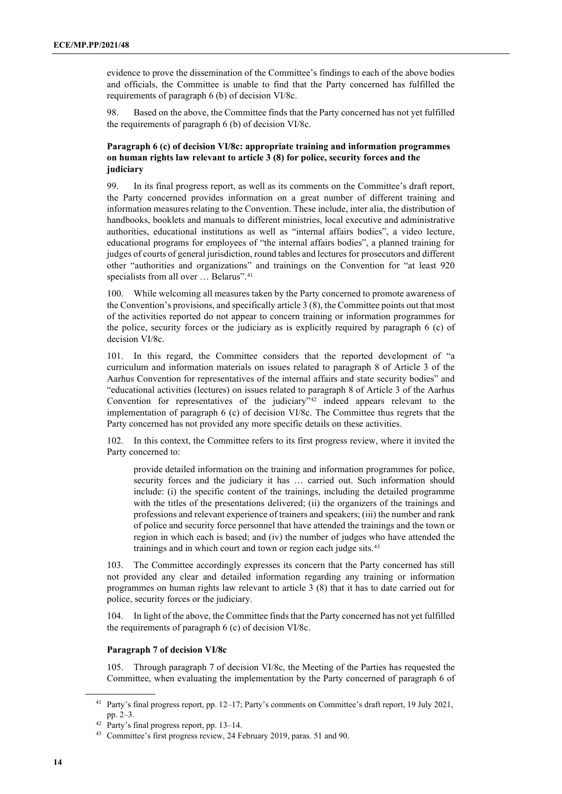evidence to prove the dissemination of the Committee's findings to each of the above bodies and officials, the Committee is unable to find that the Party concerned has fulfilled the requirements of paragraph 6 (b) of decision VI/8c.

98. Based on the above, the Committee finds that the Party concerned has not yet fulfilled the requirements of paragraph 6 (b) of decision VI/8c.

#### **Paragraph 6 (c) of decision VI/8c: appropriate training and information programmes on human rights law relevant to article 3 (8) for police, security forces and the judiciary**

99. In its final progress report, as well as its comments on the Committee's draft report, the Party concerned provides information on a great number of different training and information measures relating to the Convention. These include, inter alia, the distribution of handbooks, booklets and manuals to different ministries, local executive and administrative authorities, educational institutions as well as "internal affairs bodies", a video lecture, educational programs for employees of "the internal affairs bodies", a planned training for judges of courts of general jurisdiction, round tables and lectures for prosecutors and different other "authorities and organizations" and trainings on the Convention for "at least 920 specialists from all over ... Belarus".<sup>[41](#page-13-0)</sup>

100. While welcoming all measures taken by the Party concerned to promote awareness of the Convention's provisions, and specifically article 3 (8), the Committee points out that most of the activities reported do not appear to concern training or information programmes for the police, security forces or the judiciary as is explicitly required by paragraph 6 (c) of decision VI/8c.

101. In this regard, the Committee considers that the reported development of "a curriculum and information materials on issues related to paragraph 8 of Article 3 of the Aarhus Convention for representatives of the internal affairs and state security bodies" and "educational activities (lectures) on issues related to paragraph 8 of Article 3 of the Aarhus Convention for representatives of the judiciary"[42](#page-13-1) indeed appears relevant to the implementation of paragraph 6 (c) of decision VI/8c. The Committee thus regrets that the Party concerned has not provided any more specific details on these activities.

102. In this context, the Committee refers to its first progress review, where it invited the Party concerned to:

provide detailed information on the training and information programmes for police, security forces and the judiciary it has ... carried out. Such information should include: (i) the specific content of the trainings, including the detailed programme with the titles of the presentations delivered; (ii) the organizers of the trainings and professions and relevant experience of trainers and speakers; (iii) the number and rank of police and security force personnel that have attended the trainings and the town or region in which each is based; and (iv) the number of judges who have attended the trainings and in which court and town or region each judge sits.[43](#page-13-2)

103. The Committee accordingly expresses its concern that the Party concerned has still not provided any clear and detailed information regarding any training or information programmes on human rights law relevant to article 3 (8) that it has to date carried out for police, security forces or the judiciary.

104. In light of the above, the Committee finds that the Party concerned has not yet fulfilled the requirements of paragraph 6 (c) of decision VI/8c.

#### **Paragraph 7 of decision VI/8c**

105. Through paragraph 7 of decision VI/8c, the Meeting of the Parties has requested the Committee, when evaluating the implementation by the Party concerned of paragraph 6 of

<span id="page-13-0"></span><sup>41</sup> Party's final progress report, pp. 12–17; Party's comments on Committee's draft report, 19 July 2021, pp. 2–3.

<span id="page-13-1"></span><sup>42</sup> Party's final progress report, pp. 13–14.

<span id="page-13-2"></span><sup>43</sup> Committee's first progress review, 24 February 2019, paras. 51 and 90.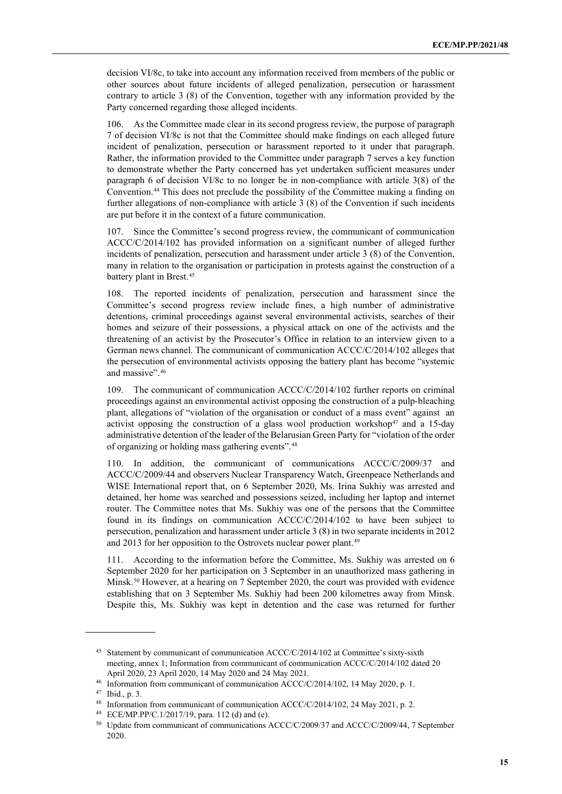decision VI/8c, to take into account any information received from members of the public or other sources about future incidents of alleged penalization, persecution or harassment contrary to article 3 (8) of the Convention, together with any information provided by the Party concerned regarding those alleged incidents.

106. As the Committee made clear in its second progress review, the purpose of paragraph 7 of decision VI/8c is not that the Committee should make findings on each alleged future incident of penalization, persecution or harassment reported to it under that paragraph. Rather, the information provided to the Committee under paragraph 7 serves a key function to demonstrate whether the Party concerned has yet undertaken sufficient measures under paragraph 6 of decision VI/8c to no longer be in non-compliance with article 3(8) of the Convention.[44](#page-14-0) This does not preclude the possibility of the Committee making a finding on further allegations of non-compliance with article 3 (8) of the Convention if such incidents are put before it in the context of a future communication.

107. Since the Committee's second progress review, the communicant of communication ACCC/C/2014/102 has provided information on a significant number of alleged further incidents of penalization, persecution and harassment under article 3 (8) of the Convention, many in relation to the organisation or participation in protests against the construction of a battery plant in Brest.[45](#page-14-1)

108. The reported incidents of penalization, persecution and harassment since the Committee's second progress review include fines, a high number of administrative detentions, criminal proceedings against several environmental activists, searches of their homes and seizure of their possessions, a physical attack on one of the activists and the threatening of an activist by the Prosecutor's Office in relation to an interview given to a German news channel. The communicant of communication ACCC/C/2014/102 alleges that the persecution of environmental activists opposing the battery plant has become "systemic and massive".<sup>[46](#page-14-2)</sup>

109. The communicant of communication ACCC/C/2014/102 further reports on criminal proceedings against an environmental activist opposing the construction of a pulp-bleaching plant, allegations of "violation of the organisation or conduct of a mass event" against an activist opposing the construction of a glass wool production workshop<sup>[47](#page-14-3)</sup> and a 15-day administrative detention of the leader of the Belarusian Green Party for "violation of the order of organizing or holding mass gathering events".[48](#page-14-4)

110. In addition, the communicant of communications ACCC/C/2009/37 and ACCC/C/2009/44 and observers Nuclear Transparency Watch, Greenpeace Netherlands and WISE International report that, on 6 September 2020, Ms. Irina Sukhiy was arrested and detained, her home was searched and possessions seized, including her laptop and internet router. The Committee notes that Ms. Sukhiy was one of the persons that the Committee found in its findings on communication ACCC/C/2014/102 to have been subject to persecution, penalization and harassment under article 3 (8) in two separate incidents in 2012 and 2013 for her opposition to the Ostrovets nuclear power plant.<sup>[49](#page-14-5)</sup>

111. According to the information before the Committee, Ms. Sukhiy was arrested on 6 September 2020 for her participation on 3 September in an unauthorized mass gathering in Minsk.[50](#page-14-6) However, at a hearing on 7 September 2020, the court was provided with evidence establishing that on 3 September Ms. Sukhiy had been 200 kilometres away from Minsk. Despite this, Ms. Sukhiy was kept in detention and the case was returned for further

<span id="page-14-1"></span><span id="page-14-0"></span><sup>&</sup>lt;sup>45</sup> Statement by communicant of communication ACCC/C/2014/102 at Committee's sixty-sixth meeting, annex 1; Information from communicant of communication ACCC/C/2014/102 dated 20

April 2020, 23 April 2020, 14 May 2020 and 24 May 2021. 46 Information from communicant of communication ACCC/C/2014/102, 14 May 2020, p. 1.

<span id="page-14-3"></span><span id="page-14-2"></span><sup>47</sup> Ibid., p. 3.

<span id="page-14-5"></span><span id="page-14-4"></span><sup>48</sup> Information from communicant of communication ACCC/C/2014/102, 24 May 2021, p. 2.

<sup>49</sup> ECE/MP.PP/C.1/2017/19, para. 112 (d) and (e).

<span id="page-14-6"></span><sup>50</sup> Update from communicant of communications ACCC/C/2009/37 and ACCC/C/2009/44, 7 September 2020.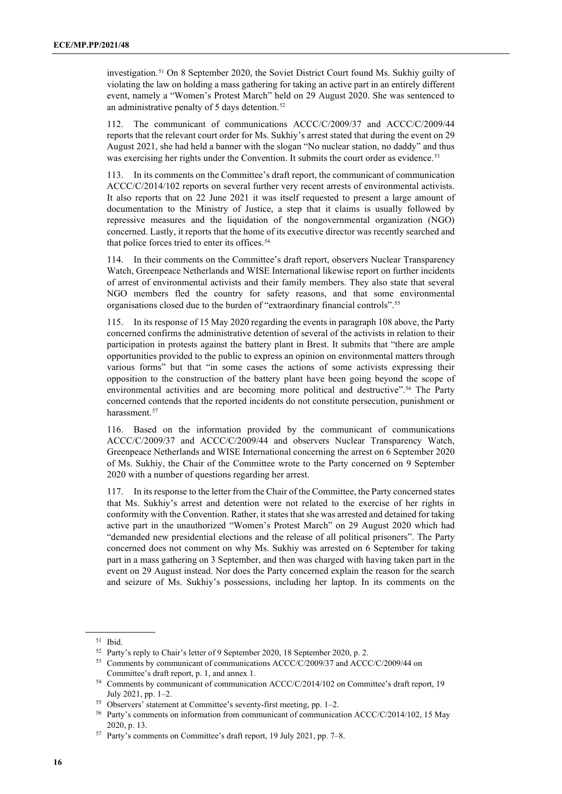investigation.[51](#page-15-0) On 8 September 2020, the Soviet District Court found Ms. Sukhiy guilty of violating the law on holding a mass gathering for taking an active part in an entirely different event, namely a "Women's Protest March" held on 29 August 2020. She was sentenced to an administrative penalty of 5 days detention.<sup>[52](#page-15-1)</sup>

112. The communicant of communications ACCC/C/2009/37 and ACCC/C/2009/44 reports that the relevant court order for Ms. Sukhiy's arrest stated that during the event on 29 August 2021, she had held a banner with the slogan "No nuclear station, no daddy" and thus was exercising her rights under the Convention. It submits the court order as evidence.<sup>[53](#page-15-2)</sup>

113. In its comments on the Committee's draft report, the communicant of communication ACCC/C/2014/102 reports on several further very recent arrests of environmental activists. It also reports that on 22 June 2021 it was itself requested to present a large amount of documentation to the Ministry of Justice, a step that it claims is usually followed by repressive measures and the liquidation of the nongovernmental organization (NGO) concerned. Lastly, it reports that the home of its executive director was recently searched and that police forces tried to enter its offices.<sup>[54](#page-15-3)</sup>

114. In their comments on the Committee's draft report, observers Nuclear Transparency Watch, Greenpeace Netherlands and WISE International likewise report on further incidents of arrest of environmental activists and their family members. They also state that several NGO members fled the country for safety reasons, and that some environmental organisations closed due to the burden of "extraordinary financial controls".<sup>[55](#page-15-4)</sup>

115. In its response of 15 May 2020 regarding the events in paragraph 108 above, the Party concerned confirms the administrative detention of several of the activists in relation to their participation in protests against the battery plant in Brest. It submits that "there are ample opportunities provided to the public to express an opinion on environmental matters through various forms" but that "in some cases the actions of some activists expressing their opposition to the construction of the battery plant have been going beyond the scope of environmental activities and are becoming more political and destructive".[56](#page-15-5) The Party concerned contends that the reported incidents do not constitute persecution, punishment or harassment.<sup>[57](#page-15-6)</sup>

116. Based on the information provided by the communicant of communications ACCC/C/2009/37 and ACCC/C/2009/44 and observers Nuclear Transparency Watch, Greenpeace Netherlands and WISE International concerning the arrest on 6 September 2020 of Ms. Sukhiy, the Chair of the Committee wrote to the Party concerned on 9 September 2020 with a number of questions regarding her arrest.

117. In its response to the letter from the Chair of the Committee, the Party concerned states that Ms. Sukhiy's arrest and detention were not related to the exercise of her rights in conformity with the Convention. Rather, it states that she was arrested and detained for taking active part in the unauthorized "Women's Protest March" on 29 August 2020 which had "demanded new presidential elections and the release of all political prisoners". The Party concerned does not comment on why Ms. Sukhiy was arrested on 6 September for taking part in a mass gathering on 3 September, and then was charged with having taken part in the event on 29 August instead. Nor does the Party concerned explain the reason for the search and seizure of Ms. Sukhiy's possessions, including her laptop. In its comments on the

<span id="page-15-1"></span><span id="page-15-0"></span><sup>51</sup> Ibid.

<sup>52</sup> Party's reply to Chair's letter of 9 September 2020, 18 September 2020, p. 2.

<span id="page-15-2"></span><sup>53</sup> Comments by communicant of communications ACCC/C/2009/37 and ACCC/C/2009/44 on Committee's draft report, p. 1, and annex 1.

<span id="page-15-3"></span><sup>54</sup> Comments by communicant of communication ACCC/C/2014/102 on Committee's draft report, 19 July 2021, pp. 1–2.

<span id="page-15-4"></span><sup>55</sup> Observers' statement at Committee's seventy-first meeting, pp. 1–2.

<span id="page-15-5"></span><sup>56</sup> Party's comments on information from communicant of communication ACCC/C/2014/102, 15 May 2020, p. 13.

<span id="page-15-6"></span><sup>57</sup> Party's comments on Committee's draft report, 19 July 2021, pp. 7–8.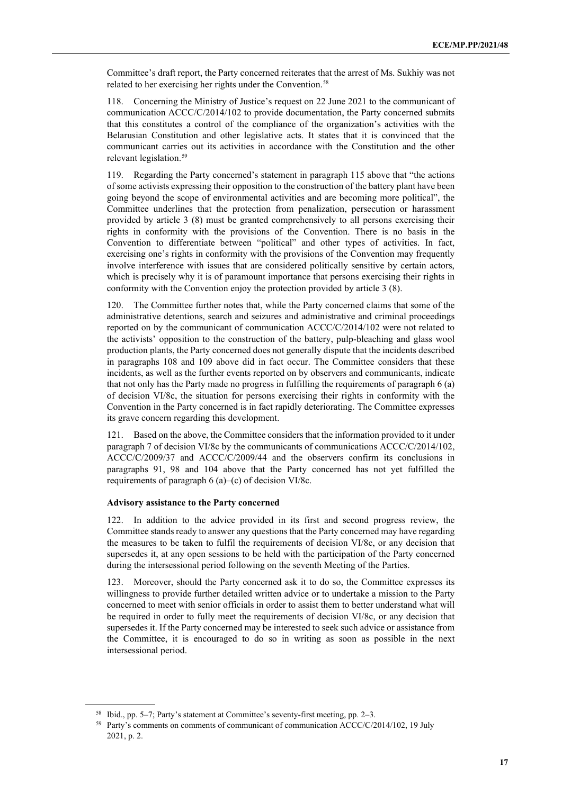Committee's draft report, the Party concerned reiterates that the arrest of Ms. Sukhiy was not related to her exercising her rights under the Convention.<sup>[58](#page-16-0)</sup>

118. Concerning the Ministry of Justice's request on 22 June 2021 to the communicant of communication ACCC/C/2014/102 to provide documentation, the Party concerned submits that this constitutes a control of the compliance of the organization's activities with the Belarusian Constitution and other legislative acts. It states that it is convinced that the communicant carries out its activities in accordance with the Constitution and the other relevant legislation.[59](#page-16-1)

119. Regarding the Party concerned's statement in paragraph 115 above that "the actions of some activists expressing their opposition to the construction of the battery plant have been going beyond the scope of environmental activities and are becoming more political", the Committee underlines that the protection from penalization, persecution or harassment provided by article 3 (8) must be granted comprehensively to all persons exercising their rights in conformity with the provisions of the Convention. There is no basis in the Convention to differentiate between "political" and other types of activities. In fact, exercising one's rights in conformity with the provisions of the Convention may frequently involve interference with issues that are considered politically sensitive by certain actors, which is precisely why it is of paramount importance that persons exercising their rights in conformity with the Convention enjoy the protection provided by article 3 (8).

120. The Committee further notes that, while the Party concerned claims that some of the administrative detentions, search and seizures and administrative and criminal proceedings reported on by the communicant of communication ACCC/C/2014/102 were not related to the activists' opposition to the construction of the battery, pulp-bleaching and glass wool production plants, the Party concerned does not generally dispute that the incidents described in paragraphs 108 and 109 above did in fact occur. The Committee considers that these incidents, as well as the further events reported on by observers and communicants, indicate that not only has the Party made no progress in fulfilling the requirements of paragraph 6 (a) of decision VI/8c, the situation for persons exercising their rights in conformity with the Convention in the Party concerned is in fact rapidly deteriorating. The Committee expresses its grave concern regarding this development.

121. Based on the above, the Committee considers that the information provided to it under paragraph 7 of decision VI/8c by the communicants of communications ACCC/C/2014/102, ACCC/C/2009/37 and ACCC/C/2009/44 and the observers confirm its conclusions in paragraphs 91, 98 and 104 above that the Party concerned has not yet fulfilled the requirements of paragraph 6 (a)–(c) of decision VI/8c.

#### **Advisory assistance to the Party concerned**

122. In addition to the advice provided in its first and second progress review, the Committee stands ready to answer any questions that the Party concerned may have regarding the measures to be taken to fulfil the requirements of decision VI/8c, or any decision that supersedes it, at any open sessions to be held with the participation of the Party concerned during the intersessional period following on the seventh Meeting of the Parties.

123. Moreover, should the Party concerned ask it to do so, the Committee expresses its willingness to provide further detailed written advice or to undertake a mission to the Party concerned to meet with senior officials in order to assist them to better understand what will be required in order to fully meet the requirements of decision VI/8c, or any decision that supersedes it. If the Party concerned may be interested to seek such advice or assistance from the Committee, it is encouraged to do so in writing as soon as possible in the next intersessional period.

<span id="page-16-0"></span><sup>58</sup> Ibid., pp. 5–7; Party's statement at Committee's seventy-first meeting, pp. 2–3.

<span id="page-16-1"></span><sup>59</sup> Party's comments on comments of communicant of communication ACCC/C/2014/102, 19 July 2021, p. 2.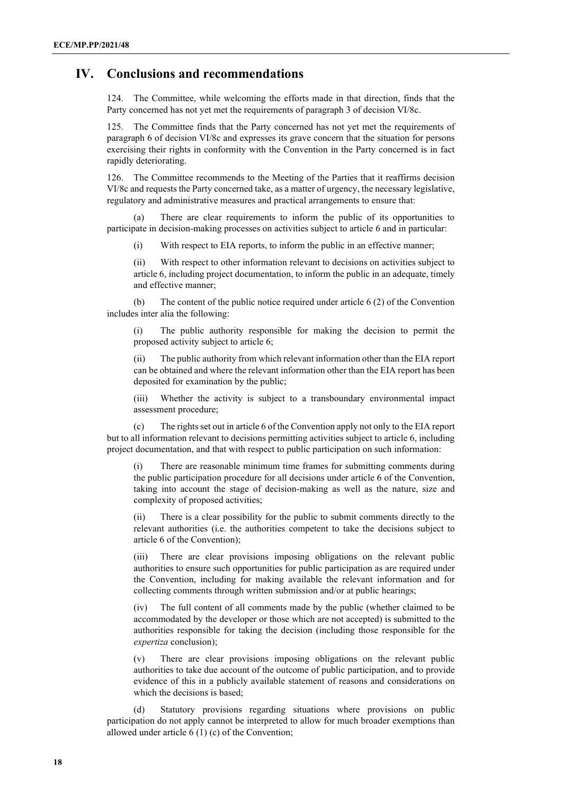# **IV. Conclusions and recommendations**

124. The Committee, while welcoming the efforts made in that direction, finds that the Party concerned has not yet met the requirements of paragraph 3 of decision VI/8c.

The Committee finds that the Party concerned has not yet met the requirements of paragraph 6 of decision VI/8c and expresses its grave concern that the situation for persons exercising their rights in conformity with the Convention in the Party concerned is in fact rapidly deteriorating.

126. The Committee recommends to the Meeting of the Parties that it reaffirms decision VI/8c and requests the Party concerned take, as a matter of urgency, the necessary legislative, regulatory and administrative measures and practical arrangements to ensure that:

(a) There are clear requirements to inform the public of its opportunities to participate in decision-making processes on activities subject to article 6 and in particular:

(i) With respect to EIA reports, to inform the public in an effective manner;

(ii) With respect to other information relevant to decisions on activities subject to article 6, including project documentation, to inform the public in an adequate, timely and effective manner;

(b) The content of the public notice required under article 6 (2) of the Convention includes inter alia the following:

(i) The public authority responsible for making the decision to permit the proposed activity subject to article 6;

(ii) The public authority from which relevant information other than the EIA report can be obtained and where the relevant information other than the EIA report has been deposited for examination by the public;

(iii) Whether the activity is subject to a transboundary environmental impact assessment procedure;

(c) The rights set out in article 6 of the Convention apply not only to the EIA report but to all information relevant to decisions permitting activities subject to article 6, including project documentation, and that with respect to public participation on such information:

(i) There are reasonable minimum time frames for submitting comments during the public participation procedure for all decisions under article 6 of the Convention, taking into account the stage of decision-making as well as the nature, size and complexity of proposed activities;

(ii) There is a clear possibility for the public to submit comments directly to the relevant authorities (i.e. the authorities competent to take the decisions subject to article 6 of the Convention);

(iii) There are clear provisions imposing obligations on the relevant public authorities to ensure such opportunities for public participation as are required under the Convention, including for making available the relevant information and for collecting comments through written submission and/or at public hearings;

(iv) The full content of all comments made by the public (whether claimed to be accommodated by the developer or those which are not accepted) is submitted to the authorities responsible for taking the decision (including those responsible for the *expertiza* conclusion);

(v) There are clear provisions imposing obligations on the relevant public authorities to take due account of the outcome of public participation, and to provide evidence of this in a publicly available statement of reasons and considerations on which the decisions is based;

(d) Statutory provisions regarding situations where provisions on public participation do not apply cannot be interpreted to allow for much broader exemptions than allowed under article 6 (1) (c) of the Convention;